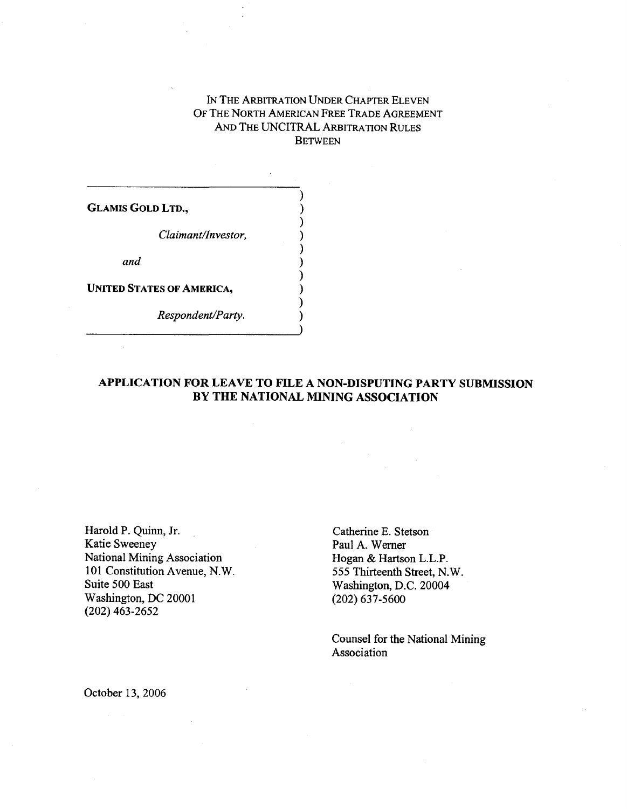## IN THE ARBITRATION UNDER CHAPTER ELEVEN OF THE NORTH AMERICAN FREE TRADE AGREEMENT AND THE UNCITRAL ARBITRATION RULES **BETWEEN**

)

**)**

**)**

**GLAMIS GOLD LTD., )**

*Claimant/Investor, )*

*and )*

**UNITED STATES OF AMERICA, )**

*Respondent/Party. )*

## **APPLICATION FOR LEAVE TO FILE A NON-DISPUTING PARTY SUBMISSION BY THE NATIONAL MINING ASSOCIATION**

Harold P. Quinn, Jr.<br>
Katie Sweeney Paul A. Werner Paul A. Werner National Mining Association<br>101 Constitution Avenue, N.W. 101 Constitution Avenue, N.W. 555 Thirteenth Street, N.W.<br>
Suite 500 East Washington, D.C. 20004 Washington, DC 20001 (202) 637-5600 (202) 463-2652

Paul A. Werner<br>Hogan & Hartson L.L.P. Washington, D.C. 20004

Counsel for the National Mining Association

October 13, 2006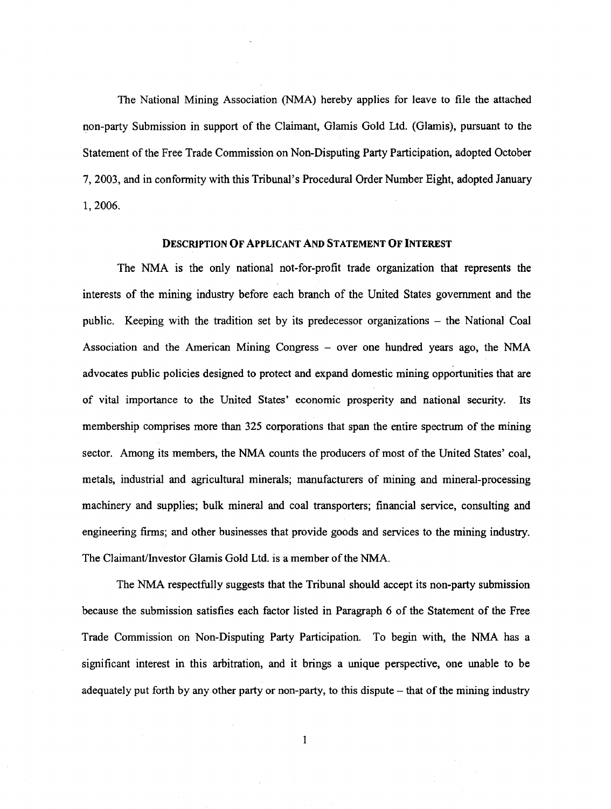The National Mining Association (NMA) hereby applies for leave to file the attached non-party Submission in support of the Claimant, Glamis Gold Ltd. (Glamis), pursuant to the Statement of the Free Trade Commission on Non-Disputing Party Participation, adopted October 7, 2003, and in conformity with this Tribunal's Procedural Order Number Eight, adopted January 1, 2006.

## DESCRIPTION OF APPLICANT AND STATEMENT OF INTEREST

The NMA is the only national not-for-profit trade organization that represents the interests of the mining industry before each branch of the United States government and the public. Keeping with the tradition set by its predecessor organizations – the National Coal Association and the American Mining Congress – over one hundred years ago, the NMA advocates public policies designed to protect and expand domestic mining opportunities that are of vital importance to the United States' economic prosperity and national security. Its membership comprises more than 325 corporations that span the entire spectrum of the mining sector. Among its members, the NMA counts the producers of most of the United States' coal, metals, industrial and agricultural minerals; manufacturers of mining and mineral-processing machinery and supplies; bulk mineral and coal transporters; financial service, consulting and engineering firms; and other businesses that provide goods and services to the mining industry. The Claimant/Investor Glamis Gold Ltd. is a member of the NMA.

The NMA respectfully suggests that the Tribunal should accept its non-party submission because the submission satisfies each factor listed in Paragraph 6 of the Statement of the Free Trade Commission on Non-Disputing Party Participation. To begin with, the NMA has a significant interest in this arbitration, and it brings a unique perspective, one unable to be adequately put forth by any other party or non-party, to this dispute — that of the mining industry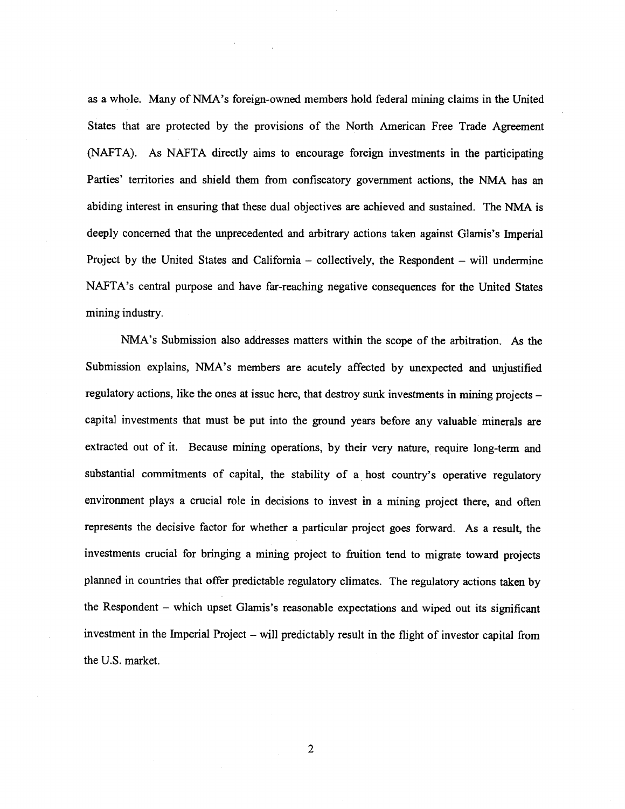as a whole. Many of NMA's foreign-owned members hold federal mining claims in the United States that are protected by the provisions of the North American Free Trade Agreement (NAFTA). As NAFTA directly aims to encourage foreign investments in the participating Parties' territories and shield them from confiscatory government actions, the NMA has an abiding interest in ensuring that these dual objectives are achieved and sustained. The NMA is deeply concerned that the unprecedented and arbitrary actions taken against Glamis's Imperial Project by the United States and California – collectively, the Respondent – will undermine NAFTA's central purpose and have far-reaching negative consequences for the United States mining industry.

NMA's Submission also addresses matters within the scope of the arbitration. As the Submission explains, NMA's members are acutely affected by unexpected and unjustified regulatory actions, like the ones at issue here, that destroy sunk investments in mining projects – capital investments that must be put into the ground years before any valuable minerals are extracted out of it. Because mining operations, by their very nature, require long-term and substantial commitments of capital, the stability of a host country's operative regulatory environment plays a crucial role in decisions to invest in a mining project there, and often represents the decisive factor for whether a particular project goes forward. As a result, the investments crucial for bringing a mining project to fruition tend to migrate toward projects planned in countries that offer predictable regulatory climates. The regulatory actions taken by the Respondent – which upset Glamis's reasonable expectations and wiped out its significant investment in the Imperial Project – will predictably result in the flight of investor capital from the U.S. market.

2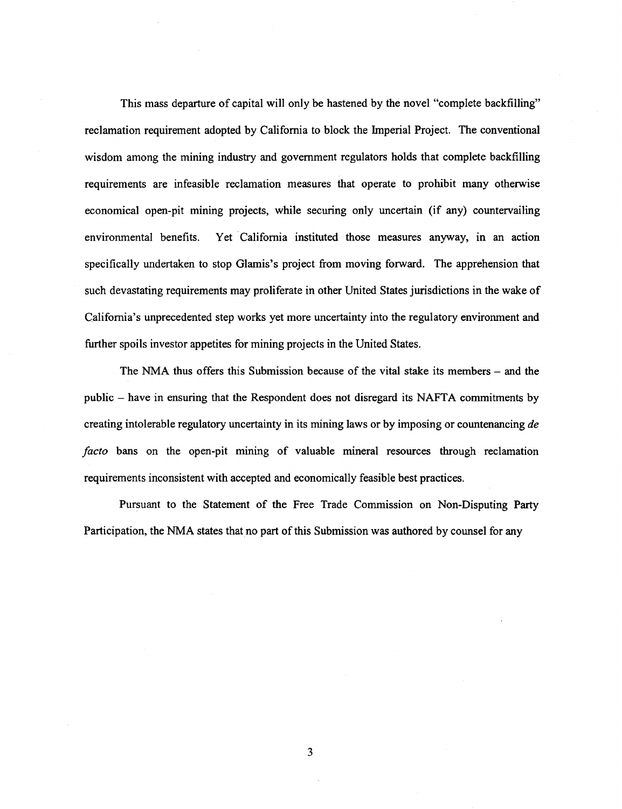This mass departure of capital will only be hastened by the novel "complete backfilling" reclamation requirement adopted by California to block the Imperial Project. The conventional wisdom among the mining industry and government regulators holds that complete backfilling requirements are infeasible reclamation measures that operate to prohibit many otherwise economical open-pit mining projects, while securing only uncertain (if any) countervailing environmental benefits. Yet California instituted those measures anyway, in an action specifically undertaken to stop Glamis's project from moving forward. The apprehension that such devastating requirements may proliferate in other United States jurisdictions in the wake of California's unprecedented step works yet more uncertainty into the regulatory environment and further spoils investor appetites for mining projects in the United States.

The NMA thus offers this Submission because of the vital stake its members – and the public – have in ensuring that the Respondent does not disregard its NAFTA commitments by creating intolerable regulatory uncertainty in its mining laws or by imposing or countenancing *de facto* bans on the open-pit mining of valuable mineral resources through reclamation requirements inconsistent with accepted and economically feasible best practices.

Pursuant to the Statement of the Free Trade Commission on Non-Disputing Party Participation, the NMA states that no part of this Submission was authored by counsel for any

3